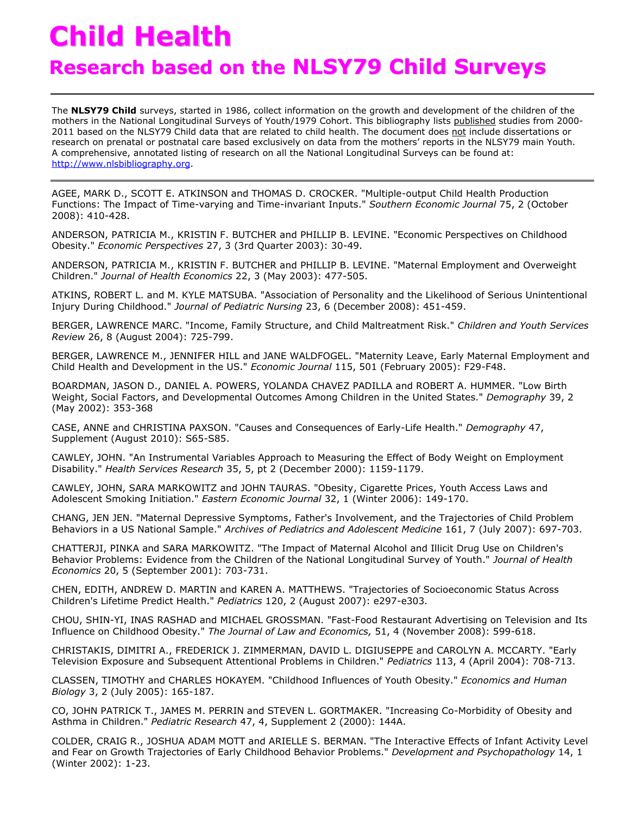## **Child Health**

## **Research based on the NLSY79 Child Surveys**

The **NLSY79 Child** surveys, started in 1986, collect information on the growth and development of the children of the mothers in the National Longitudinal Surveys of Youth/1979 Cohort. This bibliography lists published studies from 2000- 2011 based on the NLSY79 Child data that are related to child health. The document does not include dissertations or research on prenatal or postnatal care based exclusively on data from the mothers' reports in the NLSY79 main Youth. A comprehensive, annotated listing of research on all the National Longitudinal Surveys can be found at:<br> **A** comprehensive, annotated listing of research on all the National Longitudinal Surveys can be found at:<br> **COMPTI** [http://www.nlsbibliography.org.](http://www.nlsbibliography.org/)

AGEE, MARK D., SCOTT E. ATKINSON and THOMAS D. CROCKER. "Multiple-output Child Health Production Functions: The Impact of Time-varying and Time-invariant Inputs." *Southern Economic Journal* 75, 2 (October 2008): 410-428.

ANDERSON, PATRICIA M., KRISTIN F. BUTCHER and PHILLIP B. LEVINE. "Economic Perspectives on Childhood Obesity." *Economic Perspectives* 27, 3 (3rd Quarter 2003): 30-49.

ANDERSON, PATRICIA M., KRISTIN F. BUTCHER and PHILLIP B. LEVINE. "Maternal Employment and Overweight Children." *Journal of Health Economics* 22, 3 (May 2003): 477-505.

ATKINS, ROBERT L. and M. KYLE MATSUBA. "Association of Personality and the Likelihood of Serious Unintentional Injury During Childhood." *Journal of Pediatric Nursing* 23, 6 (December 2008): 451-459.

BERGER, LAWRENCE MARC. "Income, Family Structure, and Child Maltreatment Risk." *Children and Youth Services Review* 26, 8 (August 2004): 725-799.

BERGER, LAWRENCE M., JENNIFER HILL and JANE WALDFOGEL. "Maternity Leave, Early Maternal Employment and Child Health and Development in the US." *Economic Journal* 115, 501 (February 2005): F29-F48.

BOARDMAN, JASON D., DANIEL A. POWERS, YOLANDA CHAVEZ PADILLA and ROBERT A. HUMMER. "Low Birth Weight, Social Factors, and Developmental Outcomes Among Children in the United States." *Demography* 39, 2 (May 2002): 353-368

CASE, ANNE and CHRISTINA PAXSON. "Causes and Consequences of Early-Life Health." *Demography* 47, Supplement (August 2010): S65-S85.

CAWLEY, JOHN. "An Instrumental Variables Approach to Measuring the Effect of Body Weight on Employment Disability." *Health Services Research* 35, 5, pt 2 (December 2000): 1159-1179.

CAWLEY, JOHN, SARA MARKOWITZ and JOHN TAURAS. "Obesity, Cigarette Prices, Youth Access Laws and Adolescent Smoking Initiation." *Eastern Economic Journal* 32, 1 (Winter 2006): 149-170.

CHANG, JEN JEN. "Maternal Depressive Symptoms, Father's Involvement, and the Trajectories of Child Problem Behaviors in a US National Sample." *Archives of Pediatrics and Adolescent Medicine* 161, 7 (July 2007): 697-703.

CHATTERJI, PINKA and SARA MARKOWITZ. "The Impact of Maternal Alcohol and Illicit Drug Use on Children's Behavior Problems: Evidence from the Children of the National Longitudinal Survey of Youth." *Journal of Health Economics* 20, 5 (September 2001): 703-731.

CHEN, EDITH, ANDREW D. MARTIN and KAREN A. MATTHEWS. "Trajectories of Socioeconomic Status Across Children's Lifetime Predict Health." *Pediatrics* 120, 2 (August 2007): e297-e303.

CHOU, SHIN-YI, INAS RASHAD and MICHAEL GROSSMAN. "Fast-Food Restaurant Advertising on Television and Its Influence on Childhood Obesity." *The Journal of Law and Economics,* 51, 4 (November 2008): 599-618.

CHRISTAKIS, DIMITRI A., FREDERICK J. ZIMMERMAN, DAVID L. DIGIUSEPPE and CAROLYN A. MCCARTY. "Early Television Exposure and Subsequent Attentional Problems in Children." *Pediatrics* 113, 4 (April 2004): 708-713.

CLASSEN, TIMOTHY and CHARLES HOKAYEM. "Childhood Influences of Youth Obesity." *Economics and Human Biology* 3, 2 (July 2005): 165-187.

CO, JOHN PATRICK T., JAMES M. PERRIN and STEVEN L. GORTMAKER. "Increasing Co-Morbidity of Obesity and Asthma in Children." *Pediatric Research* 47, 4, Supplement 2 (2000): 144A.

COLDER, CRAIG R., JOSHUA ADAM MOTT and ARIELLE S. BERMAN. "The Interactive Effects of Infant Activity Level and Fear on Growth Trajectories of Early Childhood Behavior Problems." *Development and Psychopathology* 14, 1 (Winter 2002): 1-23.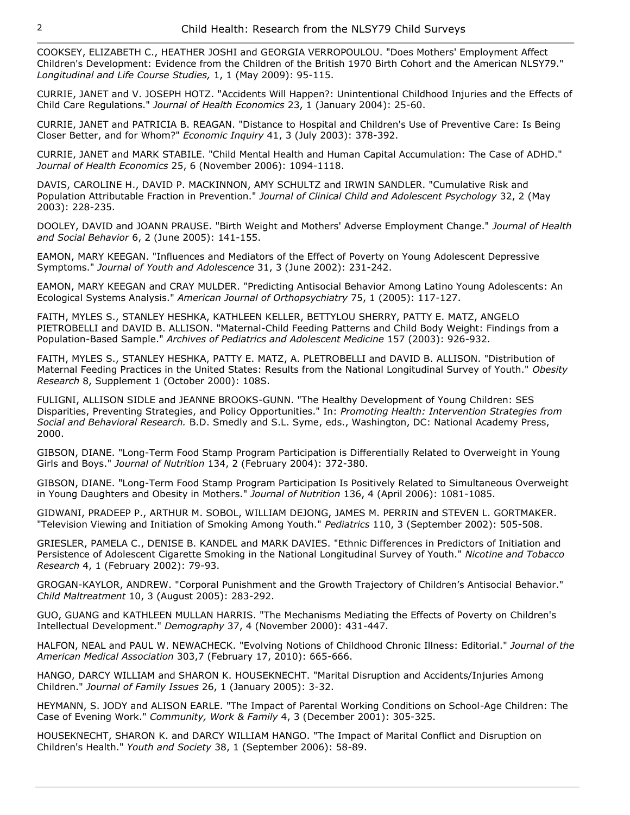COOKSEY, ELIZABETH C., HEATHER JOSHI and GEORGIA VERROPOULOU. "Does Mothers' Employment Affect Children's Development: Evidence from the Children of the British 1970 Birth Cohort and the American NLSY79." *Longitudinal and Life Course Studies,* 1, 1 (May 2009): 95-115.

CURRIE, JANET and V. JOSEPH HOTZ. "Accidents Will Happen?: Unintentional Childhood Injuries and the Effects of Child Care Regulations." *Journal of Health Economics* 23, 1 (January 2004): 25-60.

CURRIE, JANET and PATRICIA B. REAGAN. "Distance to Hospital and Children's Use of Preventive Care: Is Being Closer Better, and for Whom?" *Economic Inquiry* 41, 3 (July 2003): 378-392.

CURRIE, JANET and MARK STABILE. "Child Mental Health and Human Capital Accumulation: The Case of ADHD." *Journal of Health Economics* 25, 6 (November 2006): 1094-1118.

DAVIS, CAROLINE H., DAVID P. MACKINNON, AMY SCHULTZ and IRWIN SANDLER. "Cumulative Risk and Population Attributable Fraction in Prevention." *Journal of Clinical Child and Adolescent Psychology* 32, 2 (May 2003): 228-235.

DOOLEY, DAVID and JOANN PRAUSE. "Birth Weight and Mothers' Adverse Employment Change." *Journal of Health and Social Behavior* 6, 2 (June 2005): 141-155.

EAMON, MARY KEEGAN. "Influences and Mediators of the Effect of Poverty on Young Adolescent Depressive Symptoms." *Journal of Youth and Adolescence* 31, 3 (June 2002): 231-242.

EAMON, MARY KEEGAN and CRAY MULDER. "Predicting Antisocial Behavior Among Latino Young Adolescents: An Ecological Systems Analysis." *American Journal of Orthopsychiatry* 75, 1 (2005): 117-127.

FAITH, MYLES S., STANLEY HESHKA, KATHLEEN KELLER, BETTYLOU SHERRY, PATTY E. MATZ, ANGELO PIETROBELLI and DAVID B. ALLISON. "Maternal-Child Feeding Patterns and Child Body Weight: Findings from a Population-Based Sample." *Archives of Pediatrics and Adolescent Medicine* 157 (2003): 926-932.

FAITH, MYLES S., STANLEY HESHKA, PATTY E. MATZ, A. PLETROBELLI and DAVID B. ALLISON. "Distribution of Maternal Feeding Practices in the United States: Results from the National Longitudinal Survey of Youth." *Obesity Research* 8, Supplement 1 (October 2000): 108S.

FULIGNI, ALLISON SIDLE and JEANNE BROOKS-GUNN. "The Healthy Development of Young Children: SES Disparities, Preventing Strategies, and Policy Opportunities." In: *Promoting Health: Intervention Strategies from Social and Behavioral Research.* B.D. Smedly and S.L. Syme, eds., Washington, DC: National Academy Press, 2000.

GIBSON, DIANE. "Long-Term Food Stamp Program Participation is Differentially Related to Overweight in Young Girls and Boys." *Journal of Nutrition* 134, 2 (February 2004): 372-380.

GIBSON, DIANE. "Long-Term Food Stamp Program Participation Is Positively Related to Simultaneous Overweight in Young Daughters and Obesity in Mothers." *Journal of Nutrition* 136, 4 (April 2006): 1081-1085.

GIDWANI, PRADEEP P., ARTHUR M. SOBOL, WILLIAM DEJONG, JAMES M. PERRIN and STEVEN L. GORTMAKER. "Television Viewing and Initiation of Smoking Among Youth." *Pediatrics* 110, 3 (September 2002): 505-508.

GRIESLER, PAMELA C., DENISE B. KANDEL and MARK DAVIES. "Ethnic Differences in Predictors of Initiation and Persistence of Adolescent Cigarette Smoking in the National Longitudinal Survey of Youth." *Nicotine and Tobacco Research* 4, 1 (February 2002): 79-93.

GROGAN-KAYLOR, ANDREW. "Corporal Punishment and the Growth Trajectory of Children's Antisocial Behavior." *Child Maltreatment* 10, 3 (August 2005): 283-292.

GUO, GUANG and KATHLEEN MULLAN HARRIS. "The Mechanisms Mediating the Effects of Poverty on Children's Intellectual Development." *Demography* 37, 4 (November 2000): 431-447.

HALFON, NEAL and PAUL W. NEWACHECK. "Evolving Notions of Childhood Chronic Illness: Editorial." *Journal of the American Medical Association* 303,7 (February 17, 2010): 665-666.

HANGO, DARCY WILLIAM and SHARON K. HOUSEKNECHT. "Marital Disruption and Accidents/Injuries Among Children." *Journal of Family Issues* 26, 1 (January 2005): 3-32.

HEYMANN, S. JODY and ALISON EARLE. "The Impact of Parental Working Conditions on School-Age Children: The Case of Evening Work." *Community, Work & Family* 4, 3 (December 2001): 305-325.

HOUSEKNECHT, SHARON K. and DARCY WILLIAM HANGO. "The Impact of Marital Conflict and Disruption on Children's Health." *Youth and Society* 38, 1 (September 2006): 58-89.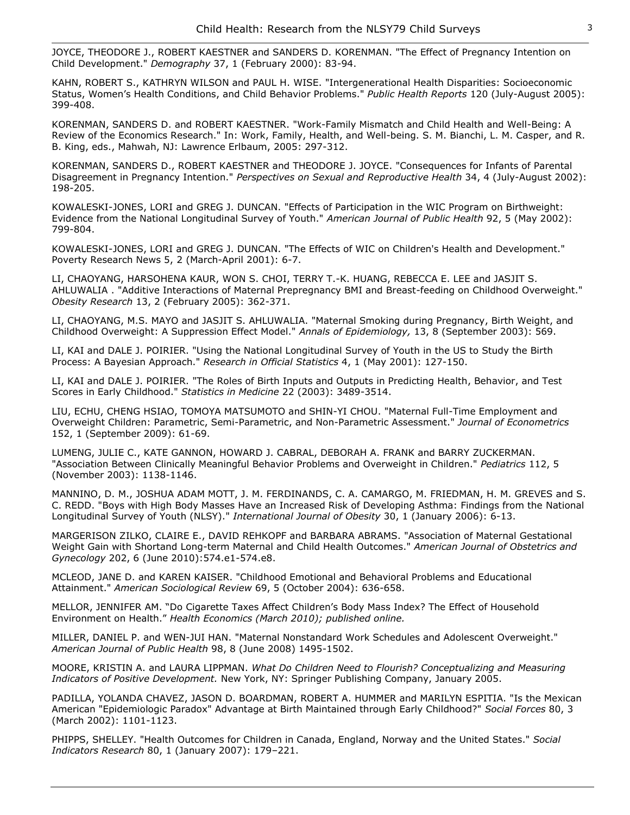JOYCE, THEODORE J., ROBERT KAESTNER and SANDERS D. KORENMAN. "The Effect of Pregnancy Intention on Child Development." *Demography* 37, 1 (February 2000): 83-94.

KAHN, ROBERT S., KATHRYN WILSON and PAUL H. WISE. "Intergenerational Health Disparities: Socioeconomic Status, Women's Health Conditions, and Child Behavior Problems." *Public Health Reports* 120 (July-August 2005): 399-408.

KORENMAN, SANDERS D. and ROBERT KAESTNER. "Work-Family Mismatch and Child Health and Well-Being: A Review of the Economics Research." In: Work, Family, Health, and Well-being. S. M. Bianchi, L. M. Casper, and R. B. King, eds., Mahwah, NJ: Lawrence Erlbaum, 2005: 297-312.

KORENMAN, SANDERS D., ROBERT KAESTNER and THEODORE J. JOYCE. "Consequences for Infants of Parental Disagreement in Pregnancy Intention." *Perspectives on Sexual and Reproductive Health* 34, 4 (July-August 2002): 198-205.

KOWALESKI-JONES, LORI and GREG J. DUNCAN. "Effects of Participation in the WIC Program on Birthweight: Evidence from the National Longitudinal Survey of Youth." *American Journal of Public Health* 92, 5 (May 2002): 799-804.

KOWALESKI-JONES, LORI and GREG J. DUNCAN. "The Effects of WIC on Children's Health and Development." Poverty Research News 5, 2 (March-April 2001): 6-7.

LI, CHAOYANG, HARSOHENA KAUR, WON S. CHOI, TERRY T.-K. HUANG, REBECCA E. LEE and JASJIT S. AHLUWALIA . "Additive Interactions of Maternal Prepregnancy BMI and Breast-feeding on Childhood Overweight." *Obesity Research* 13, 2 (February 2005): 362-371.

LI, CHAOYANG, M.S. MAYO and JASJIT S. AHLUWALIA. "Maternal Smoking during Pregnancy, Birth Weight, and Childhood Overweight: A Suppression Effect Model." *Annals of Epidemiology,* 13, 8 (September 2003): 569.

LI, KAI and DALE J. POIRIER. "Using the National Longitudinal Survey of Youth in the US to Study the Birth Process: A Bayesian Approach." *Research in Official Statistics* 4, 1 (May 2001): 127-150.

LI, KAI and DALE J. POIRIER. "The Roles of Birth Inputs and Outputs in Predicting Health, Behavior, and Test Scores in Early Childhood." *Statistics in Medicine* 22 (2003): 3489-3514.

LIU, ECHU, CHENG HSIAO, TOMOYA MATSUMOTO and SHIN-YI CHOU. "Maternal Full-Time Employment and Overweight Children: Parametric, Semi-Parametric, and Non-Parametric Assessment." *Journal of Econometrics* 152, 1 (September 2009): 61-69.

LUMENG, JULIE C., KATE GANNON, HOWARD J. CABRAL, DEBORAH A. FRANK and BARRY ZUCKERMAN. "Association Between Clinically Meaningful Behavior Problems and Overweight in Children." *Pediatrics* 112, 5 (November 2003): 1138-1146.

MANNINO, D. M., JOSHUA ADAM MOTT, J. M. FERDINANDS, C. A. CAMARGO, M. FRIEDMAN, H. M. GREVES and S. C. REDD. "Boys with High Body Masses Have an Increased Risk of Developing Asthma: Findings from the National Longitudinal Survey of Youth (NLSY)." *International Journal of Obesity* 30, 1 (January 2006): 6-13.

MARGERISON ZILKO, CLAIRE E., DAVID REHKOPF and BARBARA ABRAMS. "Association of Maternal Gestational Weight Gain with Shortand Long-term Maternal and Child Health Outcomes." *American Journal of Obstetrics and Gynecology* 202, 6 (June 2010):574.e1-574.e8.

MCLEOD, JANE D. and KAREN KAISER. "Childhood Emotional and Behavioral Problems and Educational Attainment." *American Sociological Review* 69, 5 (October 2004): 636-658.

MELLOR, JENNIFER AM. "Do Cigarette Taxes Affect Children's Body Mass Index? The Effect of Household Environment on Health." *Health Economics (March 2010); published online.*

MILLER, DANIEL P. and WEN-JUI HAN. "Maternal Nonstandard Work Schedules and Adolescent Overweight." *American Journal of Public Health* 98, 8 (June 2008) 1495-1502.

MOORE, KRISTIN A. and LAURA LIPPMAN. *What Do Children Need to Flourish? Conceptualizing and Measuring Indicators of Positive Development.* New York, NY: Springer Publishing Company, January 2005.

PADILLA, YOLANDA CHAVEZ, JASON D. BOARDMAN, ROBERT A. HUMMER and MARILYN ESPITIA. "Is the Mexican American "Epidemiologic Paradox" Advantage at Birth Maintained through Early Childhood?" *Social Forces* 80, 3 (March 2002): 1101-1123.

PHIPPS, SHELLEY. "Health Outcomes for Children in Canada, England, Norway and the United States." *Social Indicators Research* 80, 1 (January 2007): 179–221.